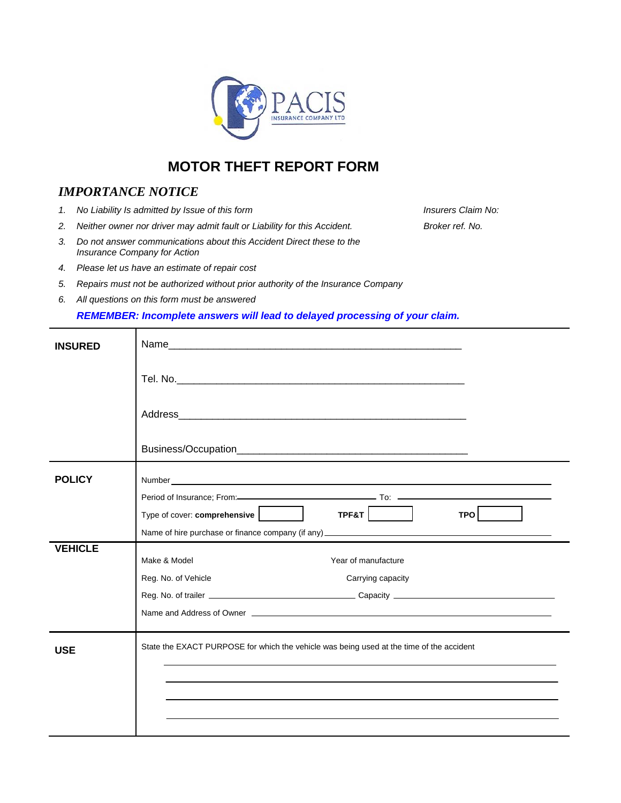

# **MOTOR THEFT REPORT FORM**

## *IMPORTANCE NOTICE*

- *1.* No Liability Is admitted by Issue of this form **Insurers Claim No: Insurers Claim No:**
- *2. Neither owner nor driver may admit fault or Liability for this Accident. Broker ref. No.*
- *3. Do not answer communications about this Accident Direct these to the Insurance Company for Action*
- *4. Please let us have an estimate of repair cost*
- *5. Repairs must not be authorized without prior authority of the Insurance Company*
- *6. All questions on this form must be answered*

#### *REMEMBER: Incomplete answers will lead to delayed processing of your claim.*

| INSURED        |                                                                                                                                                                                                                    |  |  |  |  |  |
|----------------|--------------------------------------------------------------------------------------------------------------------------------------------------------------------------------------------------------------------|--|--|--|--|--|
|                |                                                                                                                                                                                                                    |  |  |  |  |  |
|                |                                                                                                                                                                                                                    |  |  |  |  |  |
|                |                                                                                                                                                                                                                    |  |  |  |  |  |
| <b>POLICY</b>  | Type of cover: comprehensive<br>$TPF8T$  <br>TPO <sup>1</sup>                                                                                                                                                      |  |  |  |  |  |
|                |                                                                                                                                                                                                                    |  |  |  |  |  |
| <b>VEHICLE</b> | Year of manufacture<br>Make & Model<br>Reg. No. of Vehicle<br>Carrying capacity<br>Name and Address of Owner <b>Construction</b> and Address of Owner <b>Construction</b> and Address of Owner <b>Construction</b> |  |  |  |  |  |
| <b>USE</b>     | State the EXACT PURPOSE for which the vehicle was being used at the time of the accident                                                                                                                           |  |  |  |  |  |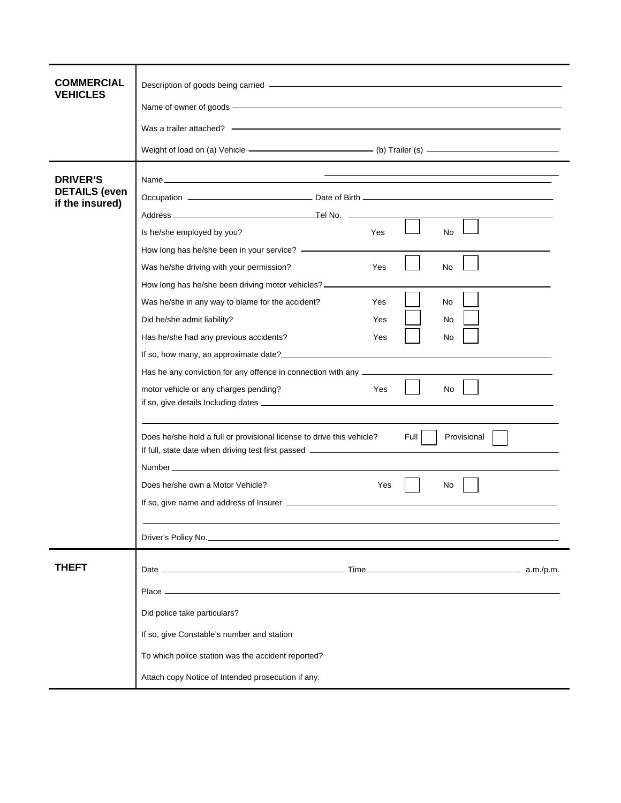| COMMERCIAL<br><b>VEHICLES</b>                              | Description of goods being carried - https://www.assett.com/www.assett.com/www.assett.com/www.assett.com/www.assett.com/www.assett.com/www.assett.com/www.assett.com/www.assett.com/www.assett.com/www.assett.com/www.assett.c<br>Name of owner of goods - The Context of the Context of the Context of the Context of the Context of the Context of the Context of the Context of the Context of the Context of the Context of the Context of the Context of th<br>Was a trailer attached? - Contract the contract of the contract of the contract of the contract of the contract of the contract of the contract of the contract of the contract of the contract of the contract of the contrac<br>Weight of load on (a) Vehicle ———————————————— (b) Trailer (s) —————————————————      |
|------------------------------------------------------------|---------------------------------------------------------------------------------------------------------------------------------------------------------------------------------------------------------------------------------------------------------------------------------------------------------------------------------------------------------------------------------------------------------------------------------------------------------------------------------------------------------------------------------------------------------------------------------------------------------------------------------------------------------------------------------------------------------------------------------------------------------------------------------------------|
| <b>DRIVER'S</b><br><b>DETAILS</b> (even<br>if the insured) | Is he/she employed by you?<br>Yes<br><b>No</b><br>How long has he/she been in your service? ____________<br>Was he/she driving with your permission?<br><b>No</b><br>Yes<br>How long has he/she been driving motor vehicles? _________<br>Was he/she in any way to blame for the accident?<br>No<br>Yes<br>Did he/she admit liability?<br>Yes<br>No<br>Has he/she had any previous accidents?<br>Yes<br>No.<br>Has he any conviction for any offence in connection with any ___________________<br>motor vehicle or any charges pending?<br>Yes<br>No<br>Full<br>Does he/she hold a full or provisional license to drive this vehicle?<br>Provisional<br>If full, state date when driving test first passed _____________________________<br>Does he/she own a Motor Vehicle?<br>Yes<br>No. |
| <b>THEFT</b>                                               | Driver's Policy No. 2008 - 2009 - 2009 - 2009 - 2009 - 2009 - 2010 - 2010 - 2010 - 2010 - 2010 - 2010 - 2010 -                                                                                                                                                                                                                                                                                                                                                                                                                                                                                                                                                                                                                                                                              |
|                                                            | Did police take particulars?<br>If so, give Constable's number and station<br>To which police station was the accident reported?<br>Attach copy Notice of Intended prosecution if any.                                                                                                                                                                                                                                                                                                                                                                                                                                                                                                                                                                                                      |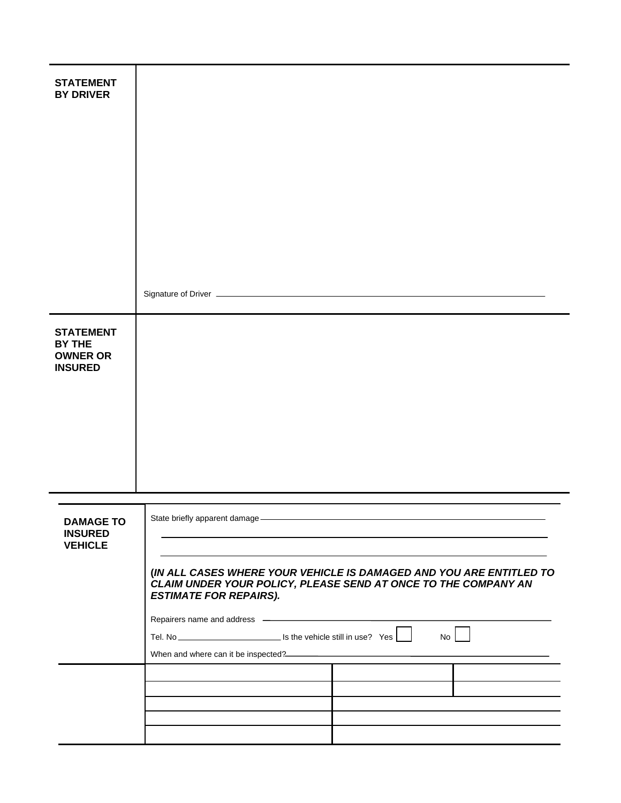| <b>STATEMENT</b>                                     |                                                                                                                                                                                                                                |  |  |  |  |
|------------------------------------------------------|--------------------------------------------------------------------------------------------------------------------------------------------------------------------------------------------------------------------------------|--|--|--|--|
| <b>BY DRIVER</b>                                     |                                                                                                                                                                                                                                |  |  |  |  |
|                                                      |                                                                                                                                                                                                                                |  |  |  |  |
|                                                      |                                                                                                                                                                                                                                |  |  |  |  |
|                                                      |                                                                                                                                                                                                                                |  |  |  |  |
|                                                      |                                                                                                                                                                                                                                |  |  |  |  |
|                                                      |                                                                                                                                                                                                                                |  |  |  |  |
|                                                      |                                                                                                                                                                                                                                |  |  |  |  |
|                                                      |                                                                                                                                                                                                                                |  |  |  |  |
|                                                      |                                                                                                                                                                                                                                |  |  |  |  |
|                                                      |                                                                                                                                                                                                                                |  |  |  |  |
| <b>STATEMENT</b>                                     |                                                                                                                                                                                                                                |  |  |  |  |
| BY THE<br><b>OWNER OR</b>                            |                                                                                                                                                                                                                                |  |  |  |  |
| <b>INSURED</b>                                       |                                                                                                                                                                                                                                |  |  |  |  |
|                                                      |                                                                                                                                                                                                                                |  |  |  |  |
|                                                      |                                                                                                                                                                                                                                |  |  |  |  |
|                                                      |                                                                                                                                                                                                                                |  |  |  |  |
|                                                      |                                                                                                                                                                                                                                |  |  |  |  |
|                                                      |                                                                                                                                                                                                                                |  |  |  |  |
|                                                      |                                                                                                                                                                                                                                |  |  |  |  |
| <b>DAMAGE TO</b><br><b>INSURED</b><br><b>VEHICLE</b> | State briefly apparent damage - https://www.article.com/www.article.com/www.article.com/www.article.com/www.article.com/www.article.com/www.article.com/www.article.com/www.article.com/www.article.com/www.article.com/www.ar |  |  |  |  |
|                                                      | (IN ALL CASES WHERE YOUR VEHICLE IS DAMAGED AND YOU ARE ENTITLED TO<br>CLAIM UNDER YOUR POLICY, PLEASE SEND AT ONCE TO THE COMPANY AN<br><b>ESTIMATE FOR REPAIRS).</b>                                                         |  |  |  |  |
|                                                      |                                                                                                                                                                                                                                |  |  |  |  |
|                                                      | No                                                                                                                                                                                                                             |  |  |  |  |
|                                                      | When and where can it be inspected?<br><u> When and where can it be inspected?</u>                                                                                                                                             |  |  |  |  |
|                                                      |                                                                                                                                                                                                                                |  |  |  |  |
|                                                      |                                                                                                                                                                                                                                |  |  |  |  |
|                                                      |                                                                                                                                                                                                                                |  |  |  |  |
|                                                      |                                                                                                                                                                                                                                |  |  |  |  |